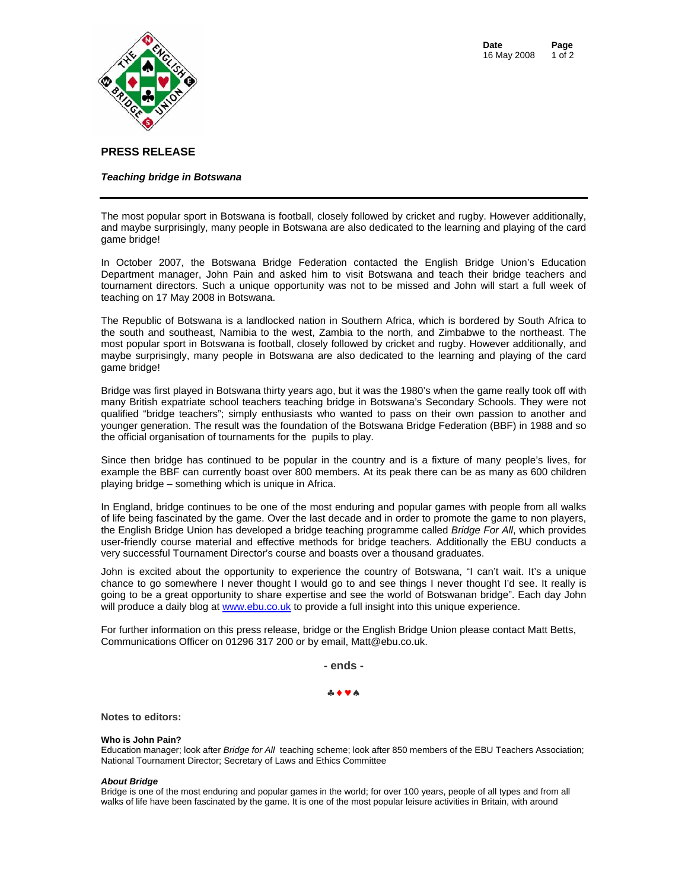

# **PRESS RELEASE**

### *Teaching bridge in Botswana*

The most popular sport in Botswana is football, closely followed by cricket and rugby. However additionally, and maybe surprisingly, many people in Botswana are also dedicated to the learning and playing of the card game bridge!

In October 2007, the Botswana Bridge Federation contacted the English Bridge Union's Education Department manager, John Pain and asked him to visit Botswana and teach their bridge teachers and tournament directors. Such a unique opportunity was not to be missed and John will start a full week of teaching on 17 May 2008 in Botswana.

The Republic of Botswana is a landlocked nation in Southern Africa, which is bordered by South Africa to the south and southeast, Namibia to the west, Zambia to the north, and Zimbabwe to the northeast. The most popular sport in Botswana is football, closely followed by cricket and rugby. However additionally, and maybe surprisingly, many people in Botswana are also dedicated to the learning and playing of the card game bridge!

Bridge was first played in Botswana thirty years ago, but it was the 1980's when the game really took off with many British expatriate school teachers teaching bridge in Botswana's Secondary Schools. They were not qualified "bridge teachers"; simply enthusiasts who wanted to pass on their own passion to another and younger generation. The result was the foundation of the Botswana Bridge Federation (BBF) in 1988 and so the official organisation of tournaments for the pupils to play.

Since then bridge has continued to be popular in the country and is a fixture of many people's lives, for example the BBF can currently boast over 800 members. At its peak there can be as many as 600 children playing bridge – something which is unique in Africa.

In England, bridge continues to be one of the most enduring and popular games with people from all walks of life being fascinated by the game. Over the last decade and in order to promote the game to non players, the English Bridge Union has developed a bridge teaching programme called *Bridge For All*, which provides user-friendly course material and effective methods for bridge teachers. Additionally the EBU conducts a very successful Tournament Director's course and boasts over a thousand graduates.

John is excited about the opportunity to experience the country of Botswana, "I can't wait. It's a unique chance to go somewhere I never thought I would go to and see things I never thought I'd see. It really is going to be a great opportunity to share expertise and see the world of Botswanan bridge". Each day John will produce a daily blog a[t www.ebu.co.uk](http://englishbridgeunion.blogspot.com/) to provide a full insight into this unique experience.

For further information on this press release, bridge or the English Bridge Union please contact Matt Betts, Communications Officer on 01296 317 200 or by email, [Matt@ebu.co.uk.](mailto:matt@ebu.co.uk) 

**- ends -** 

### ♣♦♥♠

**Notes to editors:** 

#### **Who is John Pain?**

Education manager; look after *Bridge for All* teaching scheme; look after 850 members of the EBU Teachers Association; National Tournament Director; Secretary of Laws and Ethics Committee

#### *About Bridge*

Bridge is one of the most enduring and popular games in the world; for over 100 years, people of all types and from all walks of life have been fascinated by the game. It is one of the most popular leisure activities in Britain, with around